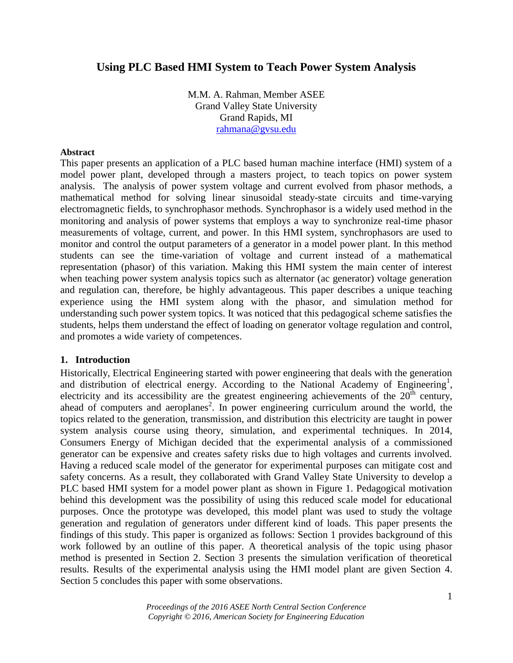# **Using PLC Based HMI System to Teach Power System Analysis**

M.M. A. Rahman, Member ASEE Grand Valley State University Grand Rapids, MI [rahmana@gvsu.edu](mailto:rahmana@gvsu.edu)

### **Abstract**

This paper presents an application of a PLC based human machine interface (HMI) system of a model power plant, developed through a masters project, to teach topics on power system analysis. The analysis of power system voltage and current evolved from phasor methods, a mathematical method for solving linear sinusoidal steady-state circuits and time-varying electromagnetic fields, to synchrophasor methods. Synchrophasor is a widely used method in the monitoring and analysis of power systems that employs a way to synchronize real-time phasor measurements of voltage, current, and power. In this HMI system, synchrophasors are used to monitor and control the output parameters of a generator in a model power plant. In this method students can see the time-variation of voltage and current instead of a mathematical representation (phasor) of this variation. Making this HMI system the main center of interest when teaching power system analysis topics such as alternator (ac generator) voltage generation and regulation can, therefore, be highly advantageous. This paper describes a unique teaching experience using the HMI system along with the phasor, and simulation method for understanding such power system topics. It was noticed that this pedagogical scheme satisfies the students, helps them understand the effect of loading on generator voltage regulation and control, and promotes a wide variety of competences.

### **1. Introduction**

Historically, Electrical Engineering started with power engineering that deals with the generation and distribution of electrical energy. According to the National Academy of Engineering<sup>1</sup>, electricity and its accessibility are the greatest engineering achievements of the  $20<sup>th</sup>$  century, ahead of computers and aeroplanes<sup>2</sup>. In power engineering curriculum around the world, the topics related to the generation, transmission, and distribution this electricity are taught in power system analysis course using theory, simulation, and experimental techniques. In 2014, Consumers Energy of Michigan decided that the experimental analysis of a commissioned generator can be expensive and creates safety risks due to high voltages and currents involved. Having a reduced scale model of the generator for experimental purposes can mitigate cost and safety concerns. As a result, they collaborated with Grand Valley State University to develop a PLC based HMI system for a model power plant as shown in Figure 1. Pedagogical motivation behind this development was the possibility of using this reduced scale model for educational purposes. Once the prototype was developed, this model plant was used to study the voltage generation and regulation of generators under different kind of loads. This paper presents the findings of this study. This paper is organized as follows: Section 1 provides background of this work followed by an outline of this paper. A theoretical analysis of the topic using phasor method is presented in Section 2. Section 3 presents the simulation verification of theoretical results. Results of the experimental analysis using the HMI model plant are given Section 4. Section 5 concludes this paper with some observations.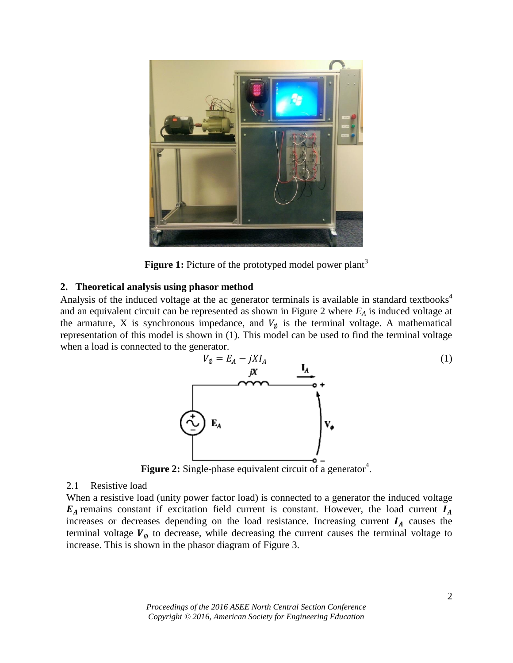

**Figure 1:** Picture of the prototyped model power plant<sup>3</sup>

### **2. Theoretical analysis using phasor method**

Analysis of the induced voltage at the ac generator terminals is available in standard textbooks<sup>4</sup> and an equivalent circuit can be represented as shown in Figure 2 where *E<sup>A</sup>* is induced voltage at the armature, X is synchronous impedance, and  $V_{\phi}$  is the terminal voltage. A mathematical representation of this model is shown in (1). This model can be used to find the terminal voltage when a load is connected to the generator.



**Figure 2:** Single-phase equivalent circuit of a generator<sup>4</sup>.

### 2.1 Resistive load

When a resistive load (unity power factor load) is connected to a generator the induced voltage  $E_A$  remains constant if excitation field current is constant. However, the load current  $I_A$ increases or decreases depending on the load resistance. Increasing current  $I_A$  causes the terminal voltage  $V_{\emptyset}$  to decrease, while decreasing the current causes the terminal voltage to increase. This is shown in the phasor diagram of Figure 3.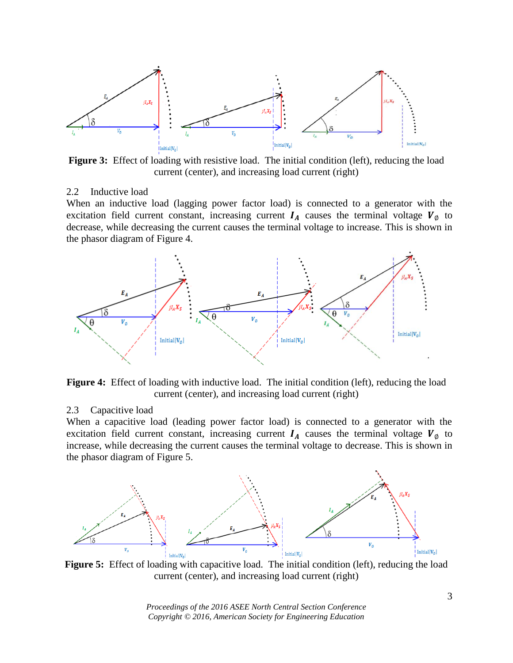

**Figure 3:** Effect of loading with resistive load. The initial condition (left), reducing the load current (center), and increasing load current (right)

#### 2.2 Inductive load

When an inductive load (lagging power factor load) is connected to a generator with the excitation field current constant, increasing current  $I_A$  causes the terminal voltage  $V_{\phi}$  to decrease, while decreasing the current causes the terminal voltage to increase. This is shown in the phasor diagram of Figure 4.



Figure 4: Effect of loading with inductive load. The initial condition (left), reducing the load current (center), and increasing load current (right)

#### 2.3 Capacitive load

When a capacitive load (leading power factor load) is connected to a generator with the excitation field current constant, increasing current  $I_A$  causes the terminal voltage  $V_{\emptyset}$  to increase, while decreasing the current causes the terminal voltage to decrease. This is shown in the phasor diagram of Figure 5.



**Figure 5:** Effect of loading with capacitive load. The initial condition (left), reducing the load current (center), and increasing load current (right)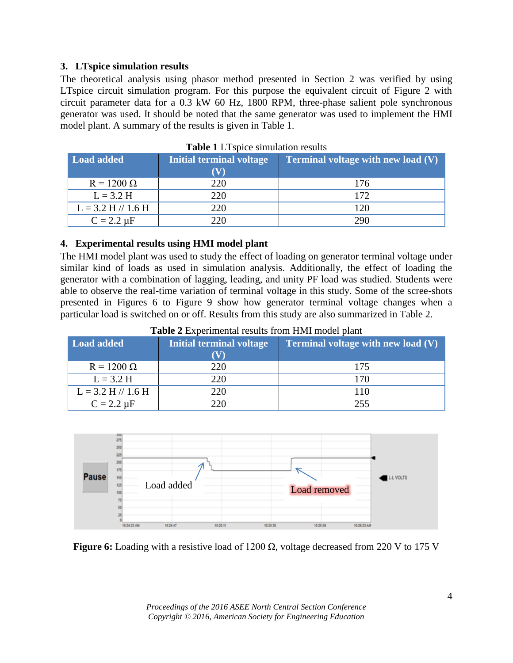## **3. LTspice simulation results**

The theoretical analysis using phasor method presented in Section 2 was verified by using LTspice circuit simulation program. For this purpose the equivalent circuit of Figure 2 with circuit parameter data for a 0.3 kW 60 Hz, 1800 RPM, three-phase salient pole synchronous generator was used. It should be noted that the same generator was used to implement the HMI model plant. A summary of the results is given in Table 1.

| Load added             | <b>Initial terminal voltage</b> | <b>Terminal voltage with new load (V)</b> |
|------------------------|---------------------------------|-------------------------------------------|
|                        |                                 |                                           |
| $R = 1200 \Omega$      | 220                             | 176                                       |
| $L = 3.2 H$            | 220                             | 172                                       |
| $L = 3.2$ H $// 1.6$ H | 220                             | 120                                       |
| $C = 2.2 \mu F$        | 220                             | 290                                       |

**Table 1** LTspice simulation results

### **4. Experimental results using HMI model plant**

The HMI model plant was used to study the effect of loading on generator terminal voltage under similar kind of loads as used in simulation analysis. Additionally, the effect of loading the generator with a combination of lagging, leading, and unity PF load was studied. Students were able to observe the real-time variation of terminal voltage in this study. Some of the scree-shots presented in Figures 6 to Figure 9 show how generator terminal voltage changes when a particular load is switched on or off. Results from this study are also summarized in Table 2.

| Load added             | <b>Initial terminal voltage</b> | <b>Terminal voltage with new load <math>(V)</math></b> |
|------------------------|---------------------------------|--------------------------------------------------------|
| $R = 1200 \Omega$      | 220                             | 175                                                    |
| $L = 3.2 H$            | 220                             | 170                                                    |
| $L = 3.2$ H $// 1.6$ H | 220                             | 110                                                    |
| $C = 2.2 \mu F$        | 220                             | 255                                                    |

**Table 2** Experimental results from HMI model plant



**Figure 6:** Loading with a resistive load of 1200 Ω, voltage decreased from 220 V to 175 V

*Proceedings of the 2016 ASEE North Central Section Conference Copyright © 2016, American Society for Engineering Education*